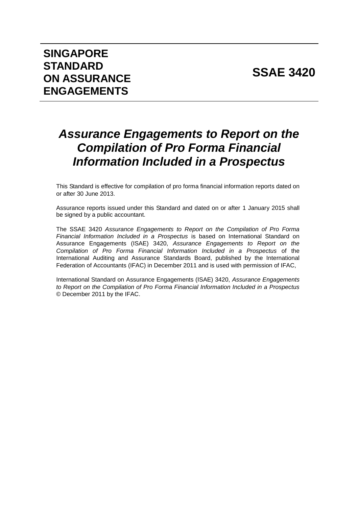# **SSAE 3420**

# *Assurance Engagements to Report on the Compilation of Pro Forma Financial Information Included in a Prospectus*

This Standard is effective for compilation of pro forma financial information reports dated on or after 30 June 2013.

Assurance reports issued under this Standard and dated on or after 1 January 2015 shall be signed by a public accountant.

The SSAE 3420 *Assurance Engagements to Report on the Compilation of Pro Forma Financial Information Included in a Prospectus* is based on International Standard on Assurance Engagements (ISAE) 3420, *Assurance Engagements to Report on the Compilation of Pro Forma Financial Information Included in a Prospectus* of the International Auditing and Assurance Standards Board, published by the International Federation of Accountants (IFAC) in December 2011 and is used with permission of IFAC,

International Standard on Assurance Engagements (ISAE) 3420, *Assurance Engagements to Report on the Compilation of Pro Forma Financial Information Included in a Prospectus* © December 2011 by the IFAC.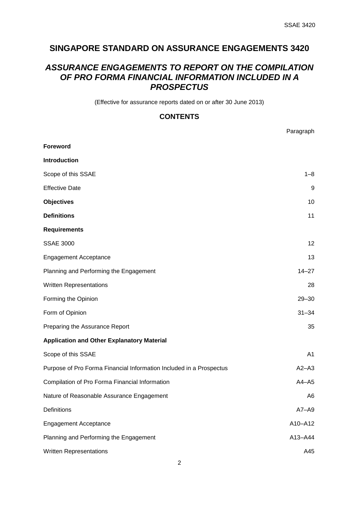Paragraph

# **SINGAPORE STANDARD ON ASSURANCE ENGAGEMENTS 3420**

# *ASSURANCE ENGAGEMENTS TO REPORT ON THE COMPILATION OF PRO FORMA FINANCIAL INFORMATION INCLUDED IN A PROSPECTUS*

(Effective for assurance reports dated on or after 30 June 2013)

# **CONTENTS**

|                                                                     | aragraph       |
|---------------------------------------------------------------------|----------------|
| <b>Foreword</b>                                                     |                |
| <b>Introduction</b>                                                 |                |
| Scope of this SSAE                                                  | $1 - 8$        |
| <b>Effective Date</b>                                               | 9              |
| <b>Objectives</b>                                                   | 10             |
| <b>Definitions</b>                                                  | 11             |
| <b>Requirements</b>                                                 |                |
| <b>SSAE 3000</b>                                                    | 12             |
| <b>Engagement Acceptance</b>                                        | 13             |
| Planning and Performing the Engagement                              | $14 - 27$      |
| Written Representations                                             | 28             |
| Forming the Opinion                                                 | $29 - 30$      |
| Form of Opinion                                                     | $31 - 34$      |
| Preparing the Assurance Report                                      | 35             |
| <b>Application and Other Explanatory Material</b>                   |                |
| Scope of this SSAE                                                  | A1             |
| Purpose of Pro Forma Financial Information Included in a Prospectus | $A2 - A3$      |
| Compilation of Pro Forma Financial Information                      | $A4 - A5$      |
| Nature of Reasonable Assurance Engagement                           | A <sub>6</sub> |
| Definitions                                                         | $A7 - A9$      |
| <b>Engagement Acceptance</b>                                        | A10-A12        |
| Planning and Performing the Engagement                              | A13-A44        |
| <b>Written Representations</b>                                      | A45            |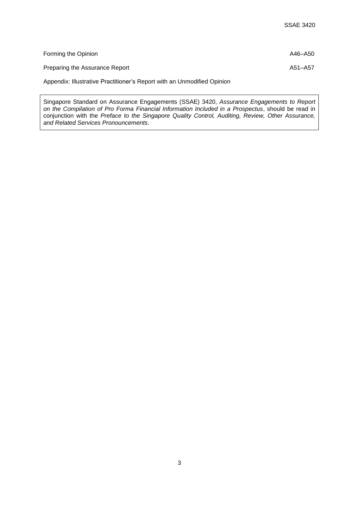| Forming the Opinion            | A46-A50 |
|--------------------------------|---------|
| Preparing the Assurance Report | A51-A57 |

Appendix: Illustrative Practitioner's Report with an Unmodified Opinion

Singapore Standard on Assurance Engagements (SSAE) 3420, *Assurance Engagements to Report on the Compilation of Pro Forma Financial Information Included in a Prospectus*, should be read in conjunction with the *Preface to the Singapore Quality Control, Auditing, Review, Other Assurance, and Related Services Pronouncements*.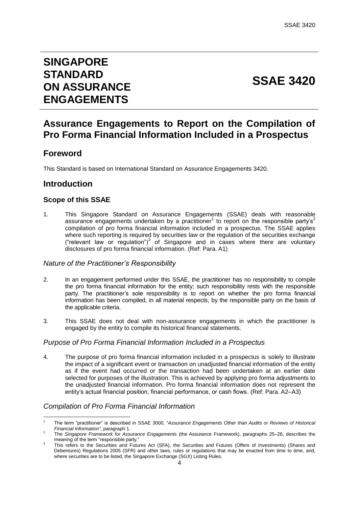# **SINGAPORE STANDARD ON ASSURANCE ENGAGEMENTS**

# **SSAE 3420**

# **Assurance Engagements to Report on the Compilation of Pro Forma Financial Information Included in a Prospectus**

# **Foreword**

This Standard is based on International Standard on Assurance Engagements 3420.

# **Introduction**

1

# **Scope of this SSAE**

1. This Singapore Standard on Assurance Engagements (SSAE) deals with reasonable assurance engagements undertaken by a practitioner<sup>1</sup> to report on the responsible party's<sup>2</sup> compilation of pro forma financial information included in a prospectus. The SSAE applies where such reporting is required by securities law or the regulation of the securities exchange ("relevant law or regulation") $3$  of Singapore and in cases where there are voluntary disclosures of pro forma financial information. (Ref: Para. A1)

## *Nature of the Practitioner's Responsibility*

- 2. In an engagement performed under this SSAE, the practitioner has no responsibility to compile the pro forma financial information for the entity; such responsibility rests with the responsible party. The practitioner's sole responsibility is to report on whether the pro forma financial information has been compiled, in all material respects, by the responsible party on the basis of the applicable criteria.
- 3. This SSAE does not deal with non-assurance engagements in which the practitioner is engaged by the entity to compile its historical financial statements.

## *Purpose of Pro Forma Financial Information Included in a Prospectus*

4. The purpose of pro forma financial information included in a prospectus is solely to illustrate the impact of a significant event or transaction on unadjusted financial information of the entity as if the event had occurred or the transaction had been undertaken at an earlier date selected for purposes of the illustration. This is achieved by applying pro forma adjustments to the unadjusted financial information. Pro forma financial information does not represent the entity's actual financial position, financial performance, or cash flows. (Ref: Para. A2–A3)

## *Compilation of Pro Forma Financial Information*

<sup>1</sup> The term "practitioner" is described in SSAE 3000, "*Assurance Engagements Other than Audits or Reviews of Historical Financial Information"*, paragraph 1.

<sup>2</sup> The *Singapore Framework for Assurance Engagements* (the Assurance Framework), paragraphs 25–26, describes the meaning of the term "responsible party." 3

This refers to the Securities and Futures Act (SFA), the Securities and Futures (Offers of Investments) (Shares and Debentures) Regulations 2005 (SFR) and other laws, rules or regulations that may be enacted from time to time, and, where securities are to be listed, the Singapore Exchange (SGX) Listing Rules.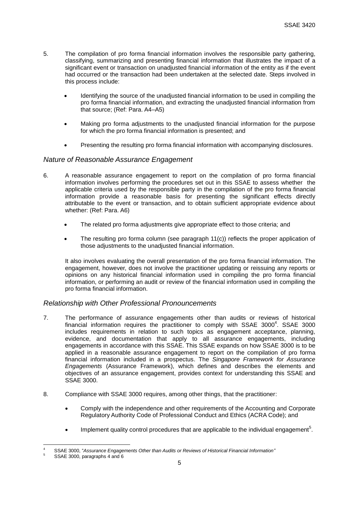- 5. The compilation of pro forma financial information involves the responsible party gathering, classifying, summarizing and presenting financial information that illustrates the impact of a significant event or transaction on unadjusted financial information of the entity as if the event had occurred or the transaction had been undertaken at the selected date. Steps involved in this process include:
	- Identifying the source of the unadjusted financial information to be used in compiling the pro forma financial information, and extracting the unadjusted financial information from that source; (Ref: Para. A4–A5)
	- Making pro forma adjustments to the unadjusted financial information for the purpose for which the pro forma financial information is presented; and
	- Presenting the resulting pro forma financial information with accompanying disclosures.

## *Nature of Reasonable Assurance Engagement*

- 6. A reasonable assurance engagement to report on the compilation of pro forma financial information involves performing the procedures set out in this SSAE to assess whether the applicable criteria used by the responsible party in the compilation of the pro forma financial information provide a reasonable basis for presenting the significant effects directly attributable to the event or transaction, and to obtain sufficient appropriate evidence about whether: (Ref: Para. A6)
	- The related pro forma adjustments give appropriate effect to those criteria; and
	- The resulting pro forma column (see paragraph 11(c)) reflects the proper application of those adjustments to the unadjusted financial information.

It also involves evaluating the overall presentation of the pro forma financial information. The engagement, however, does not involve the practitioner updating or reissuing any reports or opinions on any historical financial information used in compiling the pro forma financial information, or performing an audit or review of the financial information used in compiling the pro forma financial information.

## *Relationship with Other Professional Pronouncements*

- 7. The performance of assurance engagements other than audits or reviews of historical financial information requires the practitioner to comply with SSAE  $3000^4$ . SSAE 3000 includes requirements in relation to such topics as engagement acceptance, planning, evidence, and documentation that apply to all assurance engagements, including engagements in accordance with this SSAE. This SSAE expands on how SSAE 3000 is to be applied in a reasonable assurance engagement to report on the compilation of pro forma financial information included in a prospectus. The *Singapore Framework for Assurance Engagements* (Assurance Framework), which defines and describes the elements and objectives of an assurance engagement, provides context for understanding this SSAE and SSAE 3000.
- 8. Compliance with SSAE 3000 requires, among other things, that the practitioner:
	- Comply with the independence and other requirements of the Accounting and Corporate Regulatory Authority Code of Professional Conduct and Ethics (ACRA Code); and
	- $\bullet$  Implement quality control procedures that are applicable to the individual engagement<sup>5</sup>.

<sup>1</sup> <sup>4</sup> SSAE 3000, "*Assurance Engagements Other than Audits or Reviews of Historical Financial Information"*

<sup>5</sup> SSAE 3000, paragraphs 4 and 6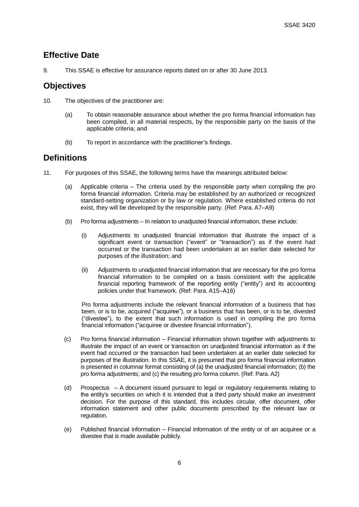# **Effective Date**

9. This SSAE is effective for assurance reports dated on or after 30 June 2013.

# **Objectives**

- 10. The objectives of the practitioner are:
	- (a) To obtain reasonable assurance about whether the pro forma financial information has been compiled, in all material respects, by the responsible party on the basis of the applicable criteria; and
	- (b) To report in accordance with the practitioner's findings.

# **Definitions**

- 11. For purposes of this SSAE, the following terms have the meanings attributed below:
	- (a) Applicable criteria The criteria used by the responsible party when compiling the pro forma financial information. Criteria may be established by an authorized or recognized standard-setting organization or by law or regulation. Where established criteria do not exist, they will be developed by the responsible party. (Ref: Para. A7–A9)
	- (b) Pro forma adjustments In relation to unadjusted financial information, these include:
		- (i) Adjustments to unadjusted financial information that illustrate the impact of a significant event or transaction ("event" or "transaction") as if the event had occurred or the transaction had been undertaken at an earlier date selected for purposes of the illustration; and
		- (ii) Adjustments to unadjusted financial information that are necessary for the pro forma financial information to be compiled on a basis consistent with the applicable financial reporting framework of the reporting entity ("entity") and its accounting policies under that framework. (Ref: Para. A15–A16)

Pro forma adjustments include the relevant financial information of a business that has been, or is to be, acquired ("acquiree"), or a business that has been, or is to be, divested ("divestee"), to the extent that such information is used in compiling the pro forma financial information ("acquiree or divestee financial information").

- (c) Pro forma financial information Financial information shown together with adjustments to illustrate the impact of an event or transaction on unadjusted financial information as if the event had occurred or the transaction had been undertaken at an earlier date selected for purposes of the illustration. In this SSAE, it is presumed that pro forma financial information is presented in columnar format consisting of (a) the unadjusted financial information; (b) the pro forma adjustments; and (c) the resulting pro forma column. (Ref: Para. A2)
- (d) Prospectus A document issued pursuant to legal or regulatory requirements relating to the entity's securities on which it is intended that a third party should make an investment decision. For the purpose of this standard, this includes circular, offer document, offer information statement and other public documents prescribed by the relevant law or regulation.
- (e) Published financial information Financial information of the entity or of an acquiree or a divestee that is made available publicly.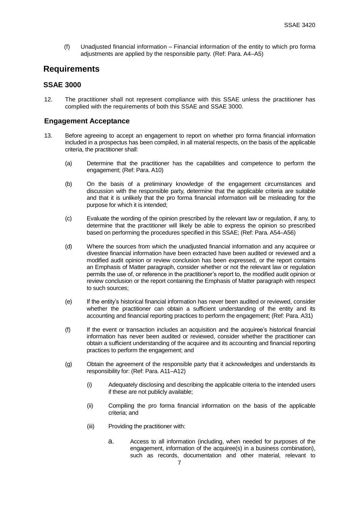(f) Unadjusted financial information – Financial information of the entity to which pro forma adjustments are applied by the responsible party. (Ref: Para. A4–A5)

# **Requirements**

# **SSAE 3000**

12. The practitioner shall not represent compliance with this SSAE unless the practitioner has complied with the requirements of both this SSAE and SSAE 3000.

# **Engagement Acceptance**

- 13. Before agreeing to accept an engagement to report on whether pro forma financial information included in a prospectus has been compiled, in all material respects, on the basis of the applicable criteria, the practitioner shall:
	- (a) Determine that the practitioner has the capabilities and competence to perform the engagement; (Ref: Para. A10)
	- (b) On the basis of a preliminary knowledge of the engagement circumstances and discussion with the responsible party, determine that the applicable criteria are suitable and that it is unlikely that the pro forma financial information will be misleading for the purpose for which it is intended;
	- (c) Evaluate the wording of the opinion prescribed by the relevant law or regulation, if any, to determine that the practitioner will likely be able to express the opinion so prescribed based on performing the procedures specified in this SSAE; (Ref: Para. A54–A56)
	- (d) Where the sources from which the unadjusted financial information and any acquiree or divestee financial information have been extracted have been audited or reviewed and a modified audit opinion or review conclusion has been expressed, or the report contains an Emphasis of Matter paragraph, consider whether or not the relevant law or regulation permits the use of, or reference in the practitioner's report to, the modified audit opinion or review conclusion or the report containing the Emphasis of Matter paragraph with respect to such sources;
	- (e) If the entity's historical financial information has never been audited or reviewed, consider whether the practitioner can obtain a sufficient understanding of the entity and its accounting and financial reporting practices to perform the engagement; (Ref: Para. A31)
	- (f) If the event or transaction includes an acquisition and the acquiree's historical financial information has never been audited or reviewed, consider whether the practitioner can obtain a sufficient understanding of the acquiree and its accounting and financial reporting practices to perform the engagement; and
	- (g) Obtain the agreement of the responsible party that it acknowledges and understands its responsibility for: (Ref: Para. A11–A12)
		- (i) Adequately disclosing and describing the applicable criteria to the intended users if these are not publicly available;
		- (ii) Compiling the pro forma financial information on the basis of the applicable criteria; and
		- (iii) Providing the practitioner with:
			- a. Access to all information (including, when needed for purposes of the engagement, information of the acquiree(s) in a business combination), such as records, documentation and other material, relevant to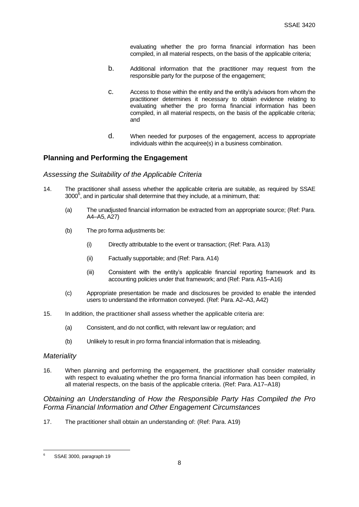evaluating whether the pro forma financial information has been compiled, in all material respects, on the basis of the applicable criteria;

- b. Additional information that the practitioner may request from the responsible party for the purpose of the engagement;
- c. Access to those within the entity and the entity's advisors from whom the practitioner determines it necessary to obtain evidence relating to evaluating whether the pro forma financial information has been compiled, in all material respects, on the basis of the applicable criteria; and
- d. When needed for purposes of the engagement, access to appropriate individuals within the acquiree(s) in a business combination.

## **Planning and Performing the Engagement**

#### *Assessing the Suitability of the Applicable Criteria*

- 14. The practitioner shall assess whether the applicable criteria are suitable, as required by SSAE  $3000^6$ , and in particular shall determine that they include, at a minimum, that:
	- (a) The unadjusted financial information be extracted from an appropriate source; (Ref: Para. A4–A5, A27)
	- (b) The pro forma adjustments be:
		- (i) Directly attributable to the event or transaction; (Ref: Para. A13)
		- (ii) Factually supportable; and (Ref: Para. A14)
		- (iii) Consistent with the entity's applicable financial reporting framework and its accounting policies under that framework; and (Ref: Para. A15–A16)
	- (c) Appropriate presentation be made and disclosures be provided to enable the intended users to understand the information conveyed. (Ref: Para. A2–A3, A42)
- 15. In addition, the practitioner shall assess whether the applicable criteria are:
	- (a) Consistent, and do not conflict, with relevant law or regulation; and
	- (b) Unlikely to result in pro forma financial information that is misleading.

#### *Materiality*

16. When planning and performing the engagement, the practitioner shall consider materiality with respect to evaluating whether the pro forma financial information has been compiled, in all material respects, on the basis of the applicable criteria. (Ref: Para. A17–A18)

# *Obtaining an Understanding of How the Responsible Party Has Compiled the Pro Forma Financial Information and Other Engagement Circumstances*

17. The practitioner shall obtain an understanding of: (Ref: Para. A19)

<sup>&</sup>lt;u>.</u> SSAE 3000, paragraph 19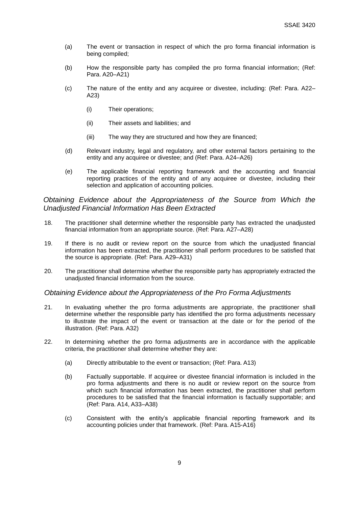- (a) The event or transaction in respect of which the pro forma financial information is being compiled;
- (b) How the responsible party has compiled the pro forma financial information; (Ref: Para. A20–A21)
- (c) The nature of the entity and any acquiree or divestee, including: (Ref: Para. A22– A23)
	- (i) Their operations;
	- (ii) Their assets and liabilities; and
	- (iii) The way they are structured and how they are financed;
- (d) Relevant industry, legal and regulatory, and other external factors pertaining to the entity and any acquiree or divestee; and (Ref: Para. A24–A26)
- (e) The applicable financial reporting framework and the accounting and financial reporting practices of the entity and of any acquiree or divestee, including their selection and application of accounting policies.

#### *Obtaining Evidence about the Appropriateness of the Source from Which the Unadjusted Financial Information Has Been Extracted*

- 18. The practitioner shall determine whether the responsible party has extracted the unadjusted financial information from an appropriate source. (Ref: Para. A27–A28)
- 19. If there is no audit or review report on the source from which the unadjusted financial information has been extracted, the practitioner shall perform procedures to be satisfied that the source is appropriate. (Ref: Para. A29–A31)
- 20. The practitioner shall determine whether the responsible party has appropriately extracted the unadjusted financial information from the source.

#### *Obtaining Evidence about the Appropriateness of the Pro Forma Adjustments*

- 21. In evaluating whether the pro forma adjustments are appropriate, the practitioner shall determine whether the responsible party has identified the pro forma adjustments necessary to illustrate the impact of the event or transaction at the date or for the period of the illustration. (Ref: Para. A32)
- 22. In determining whether the pro forma adjustments are in accordance with the applicable criteria, the practitioner shall determine whether they are:
	- (a) Directly attributable to the event or transaction; (Ref: Para. A13)
	- (b) Factually supportable. If acquiree or divestee financial information is included in the pro forma adjustments and there is no audit or review report on the source from which such financial information has been extracted, the practitioner shall perform procedures to be satisfied that the financial information is factually supportable; and (Ref: Para. A14, A33–A38)
	- (c) Consistent with the entity's applicable financial reporting framework and its accounting policies under that framework. (Ref: Para. A15-A16)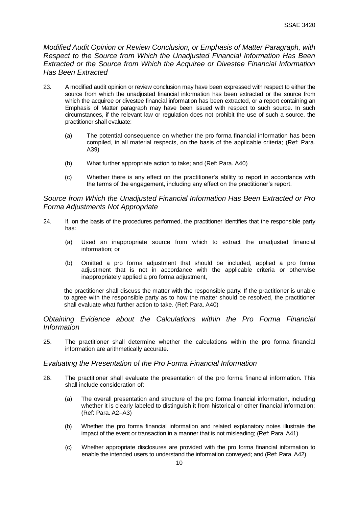*Modified Audit Opinion or Review Conclusion, or Emphasis of Matter Paragraph, with Respect to the Source from Which the Unadjusted Financial Information Has Been Extracted or the Source from Which the Acquiree or Divestee Financial Information Has Been Extracted* 

- 23. A modified audit opinion or review conclusion may have been expressed with respect to either the source from which the unadjusted financial information has been extracted or the source from which the acquiree or divestee financial information has been extracted, or a report containing an Emphasis of Matter paragraph may have been issued with respect to such source. In such circumstances, if the relevant law or regulation does not prohibit the use of such a source, the practitioner shall evaluate:
	- (a) The potential consequence on whether the pro forma financial information has been compiled, in all material respects, on the basis of the applicable criteria; (Ref: Para. A39)
	- (b) What further appropriate action to take; and (Ref: Para. A40)
	- (c) Whether there is any effect on the practitioner's ability to report in accordance with the terms of the engagement, including any effect on the practitioner's report.

## *Source from Which the Unadjusted Financial Information Has Been Extracted or Pro Forma Adjustments Not Appropriate*

- 24. If, on the basis of the procedures performed, the practitioner identifies that the responsible party has:
	- (a) Used an inappropriate source from which to extract the unadjusted financial information; or
	- (b) Omitted a pro forma adjustment that should be included, applied a pro forma adjustment that is not in accordance with the applicable criteria or otherwise inappropriately applied a pro forma adjustment,

the practitioner shall discuss the matter with the responsible party. If the practitioner is unable to agree with the responsible party as to how the matter should be resolved, the practitioner shall evaluate what further action to take. (Ref: Para. A40)

*Obtaining Evidence about the Calculations within the Pro Forma Financial Information*

25. The practitioner shall determine whether the calculations within the pro forma financial information are arithmetically accurate.

#### *Evaluating the Presentation of the Pro Forma Financial Information*

- 26. The practitioner shall evaluate the presentation of the pro forma financial information. This shall include consideration of:
	- (a) The overall presentation and structure of the pro forma financial information, including whether it is clearly labeled to distinguish it from historical or other financial information; (Ref: Para. A2–A3)
	- (b) Whether the pro forma financial information and related explanatory notes illustrate the impact of the event or transaction in a manner that is not misleading; (Ref: Para. A41)
	- (c) Whether appropriate disclosures are provided with the pro forma financial information to enable the intended users to understand the information conveyed; and (Ref: Para. A42)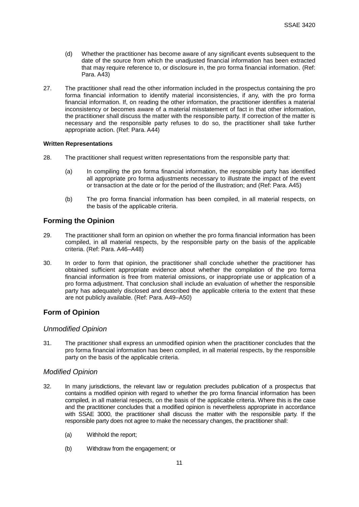- (d) Whether the practitioner has become aware of any significant events subsequent to the date of the source from which the unadjusted financial information has been extracted that may require reference to, or disclosure in, the pro forma financial information. (Ref: Para. A43)
- 27. The practitioner shall read the other information included in the prospectus containing the pro forma financial information to identify material inconsistencies, if any, with the pro forma financial information. If, on reading the other information, the practitioner identifies a material inconsistency or becomes aware of a material misstatement of fact in that other information, the practitioner shall discuss the matter with the responsible party. If correction of the matter is necessary and the responsible party refuses to do so, the practitioner shall take further appropriate action. (Ref: Para. A44)

#### **Written Representations**

- 28. The practitioner shall request written representations from the responsible party that:
	- (a) In compiling the pro forma financial information, the responsible party has identified all appropriate pro forma adjustments necessary to illustrate the impact of the event or transaction at the date or for the period of the illustration; and (Ref: Para. A45)
	- (b) The pro forma financial information has been compiled, in all material respects, on the basis of the applicable criteria.

# **Forming the Opinion**

- 29. The practitioner shall form an opinion on whether the pro forma financial information has been compiled, in all material respects, by the responsible party on the basis of the applicable criteria. (Ref: Para. A46–A48)
- 30. In order to form that opinion, the practitioner shall conclude whether the practitioner has obtained sufficient appropriate evidence about whether the compilation of the pro forma financial information is free from material omissions, or inappropriate use or application of a pro forma adjustment. That conclusion shall include an evaluation of whether the responsible party has adequately disclosed and described the applicable criteria to the extent that these are not publicly available. (Ref: Para. A49–A50)

# **Form of Opinion**

#### *Unmodified Opinion*

31. The practitioner shall express an unmodified opinion when the practitioner concludes that the pro forma financial information has been compiled, in all material respects, by the responsible party on the basis of the applicable criteria.

## *Modified Opinion*

- 32. In many jurisdictions, the relevant law or regulation precludes publication of a prospectus that contains a modified opinion with regard to whether the pro forma financial information has been compiled, in all material respects, on the basis of the applicable criteria. Where this is the case and the practitioner concludes that a modified opinion is nevertheless appropriate in accordance with SSAE 3000, the practitioner shall discuss the matter with the responsible party. If the responsible party does not agree to make the necessary changes, the practitioner shall:
	- (a) Withhold the report;
	- (b) Withdraw from the engagement; or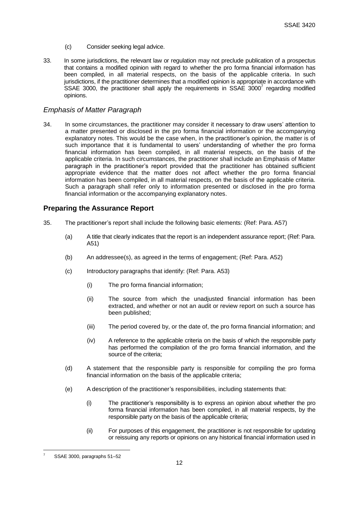- (c) Consider seeking legal advice.
- 33. In some jurisdictions, the relevant law or regulation may not preclude publication of a prospectus that contains a modified opinion with regard to whether the pro forma financial information has been compiled, in all material respects, on the basis of the applicable criteria. In such jurisdictions, if the practitioner determines that a modified opinion is appropriate in accordance with SSAE 3000, the practitioner shall apply the requirements in SSAE 3000 $^7$  regarding modified opinions.

#### *Emphasis of Matter Paragraph*

34. In some circumstances, the practitioner may consider it necessary to draw users' attention to a matter presented or disclosed in the pro forma financial information or the accompanying explanatory notes. This would be the case when, in the practitioner's opinion, the matter is of such importance that it is fundamental to users' understanding of whether the pro forma financial information has been compiled, in all material respects, on the basis of the applicable criteria. In such circumstances, the practitioner shall include an Emphasis of Matter paragraph in the practitioner's report provided that the practitioner has obtained sufficient appropriate evidence that the matter does not affect whether the pro forma financial information has been compiled, in all material respects, on the basis of the applicable criteria. Such a paragraph shall refer only to information presented or disclosed in the pro forma financial information or the accompanying explanatory notes.

#### **Preparing the Assurance Report**

- 35. The practitioner's report shall include the following basic elements: (Ref: Para. A57)
	- (a) A title that clearly indicates that the report is an independent assurance report; (Ref: Para. A51)
	- (b) An addressee(s), as agreed in the terms of engagement; (Ref: Para. A52)
	- (c) Introductory paragraphs that identify: (Ref: Para. A53)
		- (i) The pro forma financial information;
		- (ii) The source from which the unadjusted financial information has been extracted, and whether or not an audit or review report on such a source has been published;
		- (iii) The period covered by, or the date of, the pro forma financial information; and
		- (iv) A reference to the applicable criteria on the basis of which the responsible party has performed the compilation of the pro forma financial information, and the source of the criteria;
	- (d) A statement that the responsible party is responsible for compiling the pro forma financial information on the basis of the applicable criteria;
	- (e) A description of the practitioner's responsibilities, including statements that:
		- (i) The practitioner's responsibility is to express an opinion about whether the pro forma financial information has been compiled, in all material respects, by the responsible party on the basis of the applicable criteria;
		- (ii) For purposes of this engagement, the practitioner is not responsible for updating or reissuing any reports or opinions on any historical financial information used in

<sup>&</sup>lt;u>.</u> SSAE 3000, paragraphs 51-52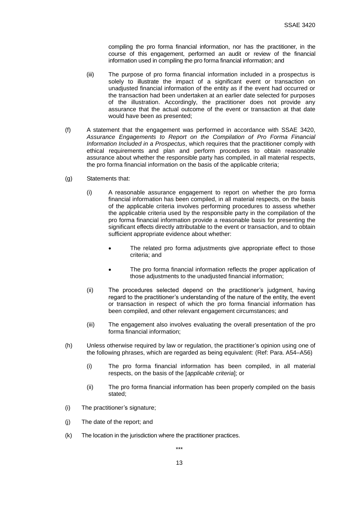compiling the pro forma financial information, nor has the practitioner, in the course of this engagement, performed an audit or review of the financial information used in compiling the pro forma financial information; and

- (iii) The purpose of pro forma financial information included in a prospectus is solely to illustrate the impact of a significant event or transaction on unadjusted financial information of the entity as if the event had occurred or the transaction had been undertaken at an earlier date selected for purposes of the illustration. Accordingly, the practitioner does not provide any assurance that the actual outcome of the event or transaction at that date would have been as presented;
- (f) A statement that the engagement was performed in accordance with SSAE 3420, *Assurance Engagements to Report on the Compilation of Pro Forma Financial Information Included in a Prospectus*, which requires that the practitioner comply with ethical requirements and plan and perform procedures to obtain reasonable assurance about whether the responsible party has compiled, in all material respects, the pro forma financial information on the basis of the applicable criteria;
- (g) Statements that:
	- (i) A reasonable assurance engagement to report on whether the pro forma financial information has been compiled, in all material respects, on the basis of the applicable criteria involves performing procedures to assess whether the applicable criteria used by the responsible party in the compilation of the pro forma financial information provide a reasonable basis for presenting the significant effects directly attributable to the event or transaction, and to obtain sufficient appropriate evidence about whether:
		- The related pro forma adjustments give appropriate effect to those criteria; and
		- The pro forma financial information reflects the proper application of those adjustments to the unadjusted financial information;
	- (ii) The procedures selected depend on the practitioner's judgment, having regard to the practitioner's understanding of the nature of the entity, the event or transaction in respect of which the pro forma financial information has been compiled, and other relevant engagement circumstances; and
	- (iii) The engagement also involves evaluating the overall presentation of the pro forma financial information;
- (h) Unless otherwise required by law or regulation, the practitioner's opinion using one of the following phrases, which are regarded as being equivalent: (Ref: Para. A54–A56)
	- (i) The pro forma financial information has been compiled, in all material respects, on the basis of the [*applicable criteria*]; or
	- (ii) The pro forma financial information has been properly compiled on the basis stated;
- (i) The practitioner's signature;
- (j) The date of the report; and
- (k) The location in the jurisdiction where the practitioner practices.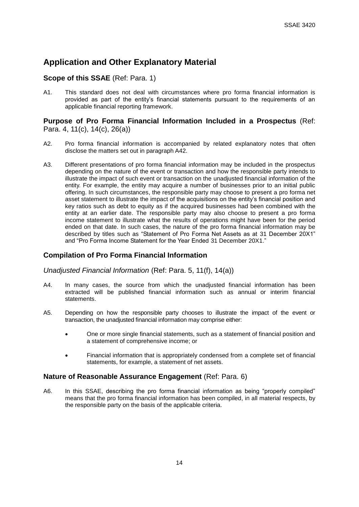# **Application and Other Explanatory Material**

## **Scope of this SSAE** (Ref: Para. 1)

A1. This standard does not deal with circumstances where pro forma financial information is provided as part of the entity's financial statements pursuant to the requirements of an applicable financial reporting framework.

#### **Purpose of Pro Forma Financial Information Included in a Prospectus** (Ref: Para. 4, 11(c), 14(c), 26(a))

- A2. Pro forma financial information is accompanied by related explanatory notes that often disclose the matters set out in paragraph A42.
- A3. Different presentations of pro forma financial information may be included in the prospectus depending on the nature of the event or transaction and how the responsible party intends to illustrate the impact of such event or transaction on the unadjusted financial information of the entity. For example, the entity may acquire a number of businesses prior to an initial public offering. In such circumstances, the responsible party may choose to present a pro forma net asset statement to illustrate the impact of the acquisitions on the entity's financial position and key ratios such as debt to equity as if the acquired businesses had been combined with the entity at an earlier date. The responsible party may also choose to present a pro forma income statement to illustrate what the results of operations might have been for the period ended on that date. In such cases, the nature of the pro forma financial information may be described by titles such as "Statement of Pro Forma Net Assets as at 31 December 20X1" and "Pro Forma Income Statement for the Year Ended 31 December 20X1."

## **Compilation of Pro Forma Financial Information**

*Unadjusted Financial Information* (Ref: Para. 5, 11(f), 14(a))

- A4. In many cases, the source from which the unadjusted financial information has been extracted will be published financial information such as annual or interim financial statements.
- A5. Depending on how the responsible party chooses to illustrate the impact of the event or transaction, the unadjusted financial information may comprise either:
	- One or more single financial statements, such as a statement of financial position and a statement of comprehensive income; or
	- Financial information that is appropriately condensed from a complete set of financial statements, for example, a statement of net assets.

#### **Nature of Reasonable Assurance Engagement** (Ref: Para. 6)

A6. In this SSAE, describing the pro forma financial information as being "properly compiled" means that the pro forma financial information has been compiled, in all material respects, by the responsible party on the basis of the applicable criteria.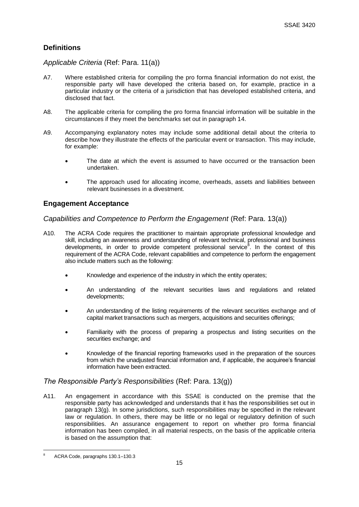# **Definitions**

## *Applicable Criteria* (Ref: Para. 11(a))

- A7. Where established criteria for compiling the pro forma financial information do not exist, the responsible party will have developed the criteria based on, for example, practice in a particular industry or the criteria of a jurisdiction that has developed established criteria, and disclosed that fact.
- A8. The applicable criteria for compiling the pro forma financial information will be suitable in the circumstances if they meet the benchmarks set out in paragraph 14.
- A9. Accompanying explanatory notes may include some additional detail about the criteria to describe how they illustrate the effects of the particular event or transaction. This may include, for example:
	- The date at which the event is assumed to have occurred or the transaction been undertaken.
	- The approach used for allocating income, overheads, assets and liabilities between relevant businesses in a divestment.

# **Engagement Acceptance**

#### *Capabilities and Competence to Perform the Engagement* (Ref: Para. 13(a))

- A10. The ACRA Code requires the practitioner to maintain appropriate professional knowledge and skill, including an awareness and understanding of relevant technical, professional and business developments, in order to provide competent professional service<sup>8</sup>. In the context of this requirement of the ACRA Code, relevant capabilities and competence to perform the engagement also include matters such as the following:
	- Knowledge and experience of the industry in which the entity operates;
	- An understanding of the relevant securities laws and regulations and related developments;
	- An understanding of the listing requirements of the relevant securities exchange and of capital market transactions such as mergers, acquisitions and securities offerings;
	- Familiarity with the process of preparing a prospectus and listing securities on the securities exchange; and
	- Knowledge of the financial reporting frameworks used in the preparation of the sources from which the unadjusted financial information and, if applicable, the acquiree's financial information have been extracted.

## *The Responsible Party's Responsibilities* (Ref: Para. 13(g))

A11. An engagement in accordance with this SSAE is conducted on the premise that the responsible party has acknowledged and understands that it has the responsibilities set out in paragraph 13(g). In some jurisdictions, such responsibilities may be specified in the relevant law or regulation. In others, there may be little or no legal or regulatory definition of such responsibilities. An assurance engagement to report on whether pro forma financial information has been compiled, in all material respects, on the basis of the applicable criteria is based on the assumption that:

<u>.</u>

<sup>8</sup> ACRA Code, paragraphs 130.1–130.3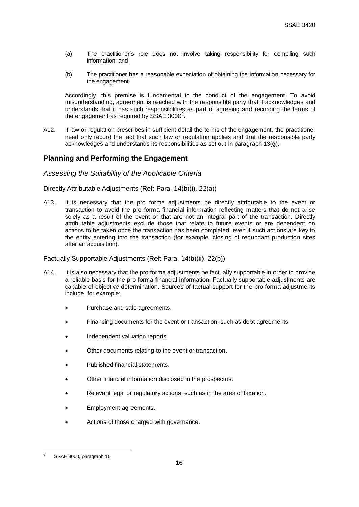- (a) The practitioner's role does not involve taking responsibility for compiling such information; and
- (b) The practitioner has a reasonable expectation of obtaining the information necessary for the engagement.

Accordingly, this premise is fundamental to the conduct of the engagement. To avoid misunderstanding, agreement is reached with the responsible party that it acknowledges and understands that it has such responsibilities as part of agreeing and recording the terms of the engagement as required by SSAE 3000 $^9$ .

A12. If law or regulation prescribes in sufficient detail the terms of the engagement, the practitioner need only record the fact that such law or regulation applies and that the responsible party acknowledges and understands its responsibilities as set out in paragraph 13(g).

## **Planning and Performing the Engagement**

#### *Assessing the Suitability of the Applicable Criteria*

Directly Attributable Adjustments (Ref: Para. 14(b)(i), 22(a))

A13. It is necessary that the pro forma adjustments be directly attributable to the event or transaction to avoid the pro forma financial information reflecting matters that do not arise solely as a result of the event or that are not an integral part of the transaction. Directly attributable adjustments exclude those that relate to future events or are dependent on actions to be taken once the transaction has been completed, even if such actions are key to the entity entering into the transaction (for example, closing of redundant production sites after an acquisition).

#### Factually Supportable Adjustments (Ref: Para. 14(b)(ii), 22(b))

- A14. It is also necessary that the pro forma adjustments be factually supportable in order to provide a reliable basis for the pro forma financial information. Factually supportable adjustments are capable of objective determination. Sources of factual support for the pro forma adjustments include, for example:
	- Purchase and sale agreements.
	- Financing documents for the event or transaction, such as debt agreements.
	- Independent valuation reports.
	- Other documents relating to the event or transaction.
	- Published financial statements.
	- Other financial information disclosed in the prospectus.
	- Relevant legal or regulatory actions, such as in the area of taxation.
	- Employment agreements.
	- Actions of those charged with governance.

<u>.</u>

SSAE 3000, paragraph 10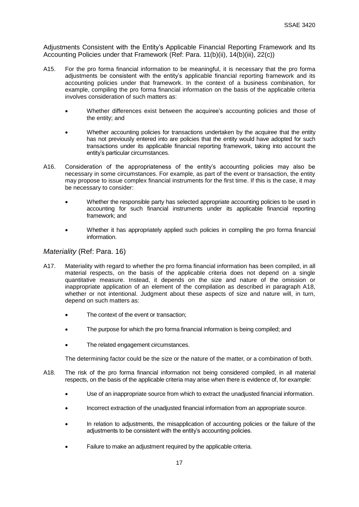Adjustments Consistent with the Entity's Applicable Financial Reporting Framework and Its Accounting Policies under that Framework (Ref: Para. 11(b)(ii), 14(b)(iii), 22(c))

- A15. For the pro forma financial information to be meaningful, it is necessary that the pro forma adjustments be consistent with the entity's applicable financial reporting framework and its accounting policies under that framework. In the context of a business combination, for example, compiling the pro forma financial information on the basis of the applicable criteria involves consideration of such matters as:
	- Whether differences exist between the acquiree's accounting policies and those of the entity; and
	- Whether accounting policies for transactions undertaken by the acquiree that the entity has not previously entered into are policies that the entity would have adopted for such transactions under its applicable financial reporting framework, taking into account the entity's particular circumstances.
- A16. Consideration of the appropriateness of the entity's accounting policies may also be necessary in some circumstances. For example, as part of the event or transaction, the entity may propose to issue complex financial instruments for the first time. If this is the case, it may be necessary to consider:
	- Whether the responsible party has selected appropriate accounting policies to be used in accounting for such financial instruments under its applicable financial reporting framework; and
	- Whether it has appropriately applied such policies in compiling the pro forma financial information.

#### *Materiality* (Ref: Para. 16)

- A17. Materiality with regard to whether the pro forma financial information has been compiled, in all material respects, on the basis of the applicable criteria does not depend on a single quantitative measure. Instead, it depends on the size and nature of the omission or inappropriate application of an element of the compilation as described in paragraph A18, whether or not intentional. Judgment about these aspects of size and nature will, in turn, depend on such matters as:
	- The context of the event or transaction;
	- The purpose for which the pro forma financial information is being compiled; and
	- The related engagement circumstances.

The determining factor could be the size or the nature of the matter, or a combination of both.

- A18. The risk of the pro forma financial information not being considered compiled, in all material respects, on the basis of the applicable criteria may arise when there is evidence of, for example:
	- Use of an inappropriate source from which to extract the unadjusted financial information.
	- Incorrect extraction of the unadjusted financial information from an appropriate source.
	- In relation to adjustments, the misapplication of accounting policies or the failure of the adjustments to be consistent with the entity's accounting policies.
	- Failure to make an adjustment required by the applicable criteria.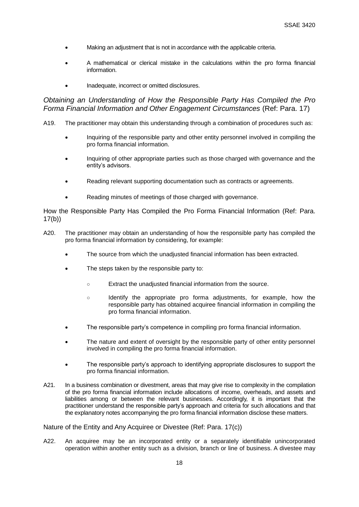- Making an adjustment that is not in accordance with the applicable criteria.
- A mathematical or clerical mistake in the calculations within the pro forma financial information.
- Inadequate, incorrect or omitted disclosures.

*Obtaining an Understanding of How the Responsible Party Has Compiled the Pro Forma Financial Information and Other Engagement Circumstances (Ref: Para. 17)* 

- A19. The practitioner may obtain this understanding through a combination of procedures such as:
	- Inquiring of the responsible party and other entity personnel involved in compiling the pro forma financial information.
	- Inquiring of other appropriate parties such as those charged with governance and the entity's advisors.
	- Reading relevant supporting documentation such as contracts or agreements.
	- Reading minutes of meetings of those charged with governance.

How the Responsible Party Has Compiled the Pro Forma Financial Information (Ref: Para. 17(b))

- A20. The practitioner may obtain an understanding of how the responsible party has compiled the pro forma financial information by considering, for example:
	- The source from which the unadjusted financial information has been extracted.
	- The steps taken by the responsible party to:
		- Extract the unadjusted financial information from the source.
		- Identify the appropriate pro forma adjustments, for example, how the responsible party has obtained acquiree financial information in compiling the pro forma financial information.
	- The responsible party's competence in compiling pro forma financial information.
	- The nature and extent of oversight by the responsible party of other entity personnel involved in compiling the pro forma financial information.
	- The responsible party's approach to identifying appropriate disclosures to support the pro forma financial information.
- A21. In a business combination or divestment, areas that may give rise to complexity in the compilation of the pro forma financial information include allocations of income, overheads, and assets and liabilities among or between the relevant businesses. Accordingly, it is important that the practitioner understand the responsible party's approach and criteria for such allocations and that the explanatory notes accompanying the pro forma financial information disclose these matters.

Nature of the Entity and Any Acquiree or Divestee (Ref: Para. 17(c))

A22. An acquiree may be an incorporated entity or a separately identifiable unincorporated operation within another entity such as a division, branch or line of business. A divestee may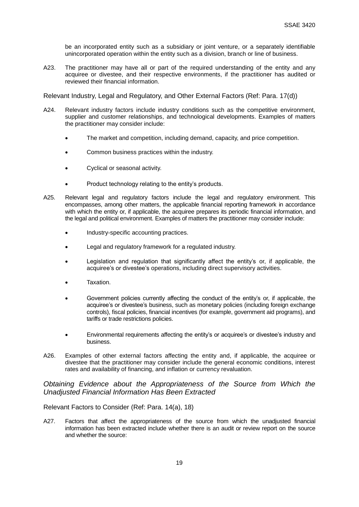be an incorporated entity such as a subsidiary or joint venture, or a separately identifiable unincorporated operation within the entity such as a division, branch or line of business.

A23. The practitioner may have all or part of the required understanding of the entity and any acquiree or divestee, and their respective environments, if the practitioner has audited or reviewed their financial information.

Relevant Industry, Legal and Regulatory, and Other External Factors (Ref: Para. 17(d))

- A24. Relevant industry factors include industry conditions such as the competitive environment, supplier and customer relationships, and technological developments. Examples of matters the practitioner may consider include:
	- The market and competition, including demand, capacity, and price competition.
	- Common business practices within the industry.
	- Cyclical or seasonal activity.
	- Product technology relating to the entity's products.
- A25. Relevant legal and regulatory factors include the legal and regulatory environment. This encompasses, among other matters, the applicable financial reporting framework in accordance with which the entity or, if applicable, the acquiree prepares its periodic financial information, and the legal and political environment. Examples of matters the practitioner may consider include:
	- Industry-specific accounting practices.
	- Legal and regulatory framework for a regulated industry.
	- Legislation and regulation that significantly affect the entity's or, if applicable, the acquiree's or divestee's operations, including direct supervisory activities.
	- Taxation.
	- Government policies currently affecting the conduct of the entity's or, if applicable, the acquiree's or divestee's business, such as monetary policies (including foreign exchange controls), fiscal policies, financial incentives (for example, government aid programs), and tariffs or trade restrictions policies.
	- Environmental requirements affecting the entity's or acquiree's or divestee's industry and business.
- A26. Examples of other external factors affecting the entity and, if applicable, the acquiree or divestee that the practitioner may consider include the general economic conditions, interest rates and availability of financing, and inflation or currency revaluation.

*Obtaining Evidence about the Appropriateness of the Source from Which the Unadjusted Financial Information Has Been Extracted*

Relevant Factors to Consider (Ref: Para. 14(a), 18)

A27. Factors that affect the appropriateness of the source from which the unadjusted financial information has been extracted include whether there is an audit or review report on the source and whether the source: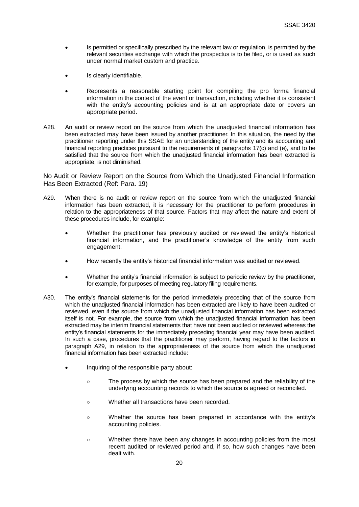- Is permitted or specifically prescribed by the relevant law or regulation, is permitted by the relevant securities exchange with which the prospectus is to be filed, or is used as such under normal market custom and practice.
- Is clearly identifiable.
- Represents a reasonable starting point for compiling the pro forma financial information in the context of the event or transaction, including whether it is consistent with the entity's accounting policies and is at an appropriate date or covers an appropriate period.
- A28. An audit or review report on the source from which the unadjusted financial information has been extracted may have been issued by another practitioner. In this situation, the need by the practitioner reporting under this SSAE for an understanding of the entity and its accounting and financial reporting practices pursuant to the requirements of paragraphs 17(c) and (e), and to be satisfied that the source from which the unadjusted financial information has been extracted is appropriate, is not diminished.

No Audit or Review Report on the Source from Which the Unadjusted Financial Information Has Been Extracted (Ref: Para. 19)

- A29. When there is no audit or review report on the source from which the unadjusted financial information has been extracted, it is necessary for the practitioner to perform procedures in relation to the appropriateness of that source. Factors that may affect the nature and extent of these procedures include, for example:
	- Whether the practitioner has previously audited or reviewed the entity's historical financial information, and the practitioner's knowledge of the entity from such engagement.
	- How recently the entity's historical financial information was audited or reviewed.
	- Whether the entity's financial information is subject to periodic review by the practitioner, for example, for purposes of meeting regulatory filing requirements.
- A30. The entity's financial statements for the period immediately preceding that of the source from which the unadjusted financial information has been extracted are likely to have been audited or reviewed, even if the source from which the unadjusted financial information has been extracted itself is not. For example, the source from which the unadjusted financial information has been extracted may be interim financial statements that have not been audited or reviewed whereas the entity's financial statements for the immediately preceding financial year may have been audited. In such a case, procedures that the practitioner may perform, having regard to the factors in paragraph A29, in relation to the appropriateness of the source from which the unadjusted financial information has been extracted include:
	- Inquiring of the responsible party about:
		- The process by which the source has been prepared and the reliability of the underlying accounting records to which the source is agreed or reconciled.
		- Whether all transactions have been recorded.
		- Whether the source has been prepared in accordance with the entity's accounting policies.
		- Whether there have been any changes in accounting policies from the most recent audited or reviewed period and, if so, how such changes have been dealt with.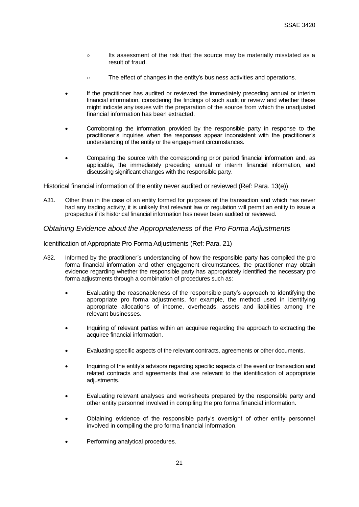- Its assessment of the risk that the source may be materially misstated as a result of fraud.
- The effect of changes in the entity's business activities and operations.
- If the practitioner has audited or reviewed the immediately preceding annual or interim financial information, considering the findings of such audit or review and whether these might indicate any issues with the preparation of the source from which the unadjusted financial information has been extracted.
- Corroborating the information provided by the responsible party in response to the practitioner's inquiries when the responses appear inconsistent with the practitioner's understanding of the entity or the engagement circumstances.
- Comparing the source with the corresponding prior period financial information and, as applicable, the immediately preceding annual or interim financial information, and discussing significant changes with the responsible party.

Historical financial information of the entity never audited or reviewed (Ref: Para. 13(e))

A31. Other than in the case of an entity formed for purposes of the transaction and which has never had any trading activity, it is unlikely that relevant law or regulation will permit an entity to issue a prospectus if its historical financial information has never been audited or reviewed.

#### *Obtaining Evidence about the Appropriateness of the Pro Forma Adjustments*

Identification of Appropriate Pro Forma Adjustments (Ref: Para. 21)

- A32. Informed by the practitioner's understanding of how the responsible party has compiled the pro forma financial information and other engagement circumstances, the practitioner may obtain evidence regarding whether the responsible party has appropriately identified the necessary pro forma adjustments through a combination of procedures such as:
	- Evaluating the reasonableness of the responsible party's approach to identifying the appropriate pro forma adjustments, for example, the method used in identifying appropriate allocations of income, overheads, assets and liabilities among the relevant businesses.
	- Inquiring of relevant parties within an acquiree regarding the approach to extracting the acquiree financial information.
	- Evaluating specific aspects of the relevant contracts, agreements or other documents.
	- Inquiring of the entity's advisors regarding specific aspects of the event or transaction and related contracts and agreements that are relevant to the identification of appropriate adiustments.
	- Evaluating relevant analyses and worksheets prepared by the responsible party and other entity personnel involved in compiling the pro forma financial information.
	- Obtaining evidence of the responsible party's oversight of other entity personnel involved in compiling the pro forma financial information.
	- Performing analytical procedures.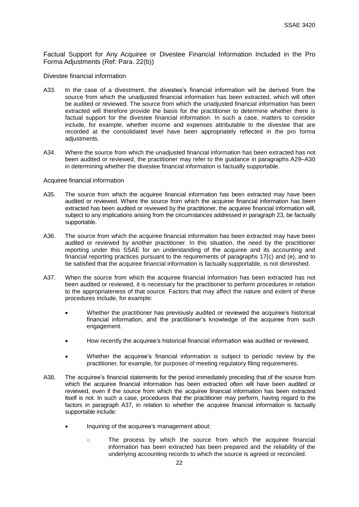Factual Support for Any Acquiree or Divestee Financial Information Included in the Pro Forma Adjustments (Ref: Para. 22(b))

Divestee financial information

- A33. In the case of a divestment, the divestee's financial information will be derived from the source from which the unadjusted financial information has been extracted, which will often be audited or reviewed. The source from which the unadjusted financial information has been extracted will therefore provide the basis for the practitioner to determine whether there is factual support for the divestee financial information. In such a case, matters to consider include, for example, whether income and expenses attributable to the divestee that are recorded at the consolidated level have been appropriately reflected in the pro forma adiustments.
- A34. Where the source from which the unadjusted financial information has been extracted has not been audited or reviewed, the practitioner may refer to the guidance in paragraphs A29–A30 in determining whether the divestee financial information is factually supportable.

#### Acquiree financial information

- A35. The source from which the acquiree financial information has been extracted may have been audited or reviewed. Where the source from which the acquiree financial information has been extracted has been audited or reviewed by the practitioner, the acquiree financial information will, subject to any implications arising from the circumstances addressed in paragraph 23, be factually supportable.
- A36. The source from which the acquiree financial information has been extracted may have been audited or reviewed by another practitioner. In this situation, the need by the practitioner reporting under this SSAE for an understanding of the acquiree and its accounting and financial reporting practices pursuant to the requirements of paragraphs 17(c) and (e), and to be satisfied that the acquiree financial information is factually supportable, is not diminished.
- A37. When the source from which the acquiree financial information has been extracted has not been audited or reviewed, it is necessary for the practitioner to perform procedures in relation to the appropriateness of that source. Factors that may affect the nature and extent of these procedures include, for example:
	- Whether the practitioner has previously audited or reviewed the acquiree's historical financial information, and the practitioner's knowledge of the acquiree from such engagement.
	- How recently the acquiree's historical financial information was audited or reviewed.
	- Whether the acquiree's financial information is subject to periodic review by the practitioner, for example, for purposes of meeting regulatory filing requirements.
- A38. The acquiree's financial statements for the period immediately preceding that of the source from which the acquiree financial information has been extracted often will have been audited or reviewed, even if the source from which the acquiree financial information has been extracted itself is not. In such a case, procedures that the practitioner may perform, having regard to the factors in paragraph A37, in relation to whether the acquiree financial information is factually supportable include:
	- Inquiring of the acquiree's management about:
		- The process by which the source from which the acquiree financial information has been extracted has been prepared and the reliability of the underlying accounting records to which the source is agreed or reconciled.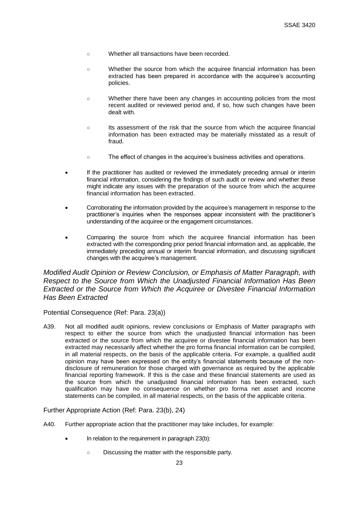- Whether all transactions have been recorded.
- Whether the source from which the acquiree financial information has been extracted has been prepared in accordance with the acquiree's accounting policies.
- Whether there have been any changes in accounting policies from the most recent audited or reviewed period and, if so, how such changes have been dealt with.
- Its assessment of the risk that the source from which the acquiree financial information has been extracted may be materially misstated as a result of fraud.
- The effect of changes in the acquiree's business activities and operations.
- If the practitioner has audited or reviewed the immediately preceding annual or interim financial information, considering the findings of such audit or review and whether these might indicate any issues with the preparation of the source from which the acquiree financial information has been extracted.
- Corroborating the information provided by the acquiree's management in response to the practitioner's inquiries when the responses appear inconsistent with the practitioner's understanding of the acquiree or the engagement circumstances.
- Comparing the source from which the acquiree financial information has been extracted with the corresponding prior period financial information and, as applicable, the immediately preceding annual or interim financial information, and discussing significant changes with the acquiree's management.

*Modified Audit Opinion or Review Conclusion, or Emphasis of Matter Paragraph, with Respect to the Source from Which the Unadjusted Financial Information Has Been Extracted or the Source from Which the Acquiree or Divestee Financial Information Has Been Extracted*

Potential Consequence (Ref: Para. 23(a))

A39. Not all modified audit opinions, review conclusions or Emphasis of Matter paragraphs with respect to either the source from which the unadjusted financial information has been extracted or the source from which the acquiree or divestee financial information has been extracted may necessarily affect whether the pro forma financial information can be compiled, in all material respects, on the basis of the applicable criteria. For example, a qualified audit opinion may have been expressed on the entity's financial statements because of the nondisclosure of remuneration for those charged with governance as required by the applicable financial reporting framework. If this is the case and these financial statements are used as the source from which the unadjusted financial information has been extracted, such qualification may have no consequence on whether pro forma net asset and income statements can be compiled, in all material respects, on the basis of the applicable criteria.

Further Appropriate Action (Ref: Para. 23(b), 24)

- A40. Further appropriate action that the practitioner may take includes, for example:
	- In relation to the requirement in paragraph 23(b):
		- Discussing the matter with the responsible party.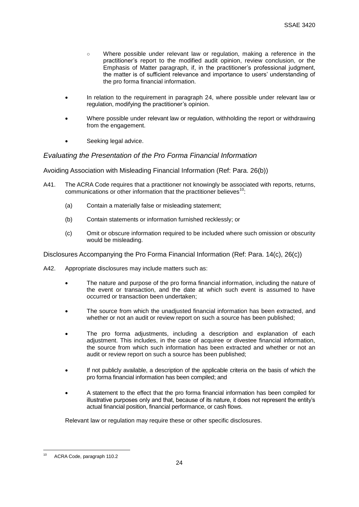- Where possible under relevant law or regulation, making a reference in the practitioner's report to the modified audit opinion, review conclusion, or the Emphasis of Matter paragraph, if, in the practitioner's professional judgment, the matter is of sufficient relevance and importance to users' understanding of the pro forma financial information.
- In relation to the requirement in paragraph 24, where possible under relevant law or regulation, modifying the practitioner's opinion.
- Where possible under relevant law or regulation, withholding the report or withdrawing from the engagement.
- Seeking legal advice.

## *Evaluating the Presentation of the Pro Forma Financial Information*

Avoiding Association with Misleading Financial Information (Ref: Para. 26(b))

- A41. The ACRA Code requires that a practitioner not knowingly be associated with reports, returns, communications or other information that the practitioner believes $10$ :
	- (a) Contain a materially false or misleading statement;
	- (b) Contain statements or information furnished recklessly; or
	- (c) Omit or obscure information required to be included where such omission or obscurity would be misleading.

Disclosures Accompanying the Pro Forma Financial Information (Ref: Para. 14(c), 26(c))

- A42. Appropriate disclosures may include matters such as:
	- The nature and purpose of the pro forma financial information, including the nature of the event or transaction, and the date at which such event is assumed to have occurred or transaction been undertaken;
	- The source from which the unadjusted financial information has been extracted, and whether or not an audit or review report on such a source has been published;
	- The pro forma adjustments, including a description and explanation of each adjustment. This includes, in the case of acquiree or divestee financial information, the source from which such information has been extracted and whether or not an audit or review report on such a source has been published;
	- If not publicly available, a description of the applicable criteria on the basis of which the pro forma financial information has been compiled; and
	- A statement to the effect that the pro forma financial information has been compiled for illustrative purposes only and that, because of its nature, it does not represent the entity's actual financial position, financial performance, or cash flows.

Relevant law or regulation may require these or other specific disclosures.

 $10$ ACRA Code, paragraph 110.2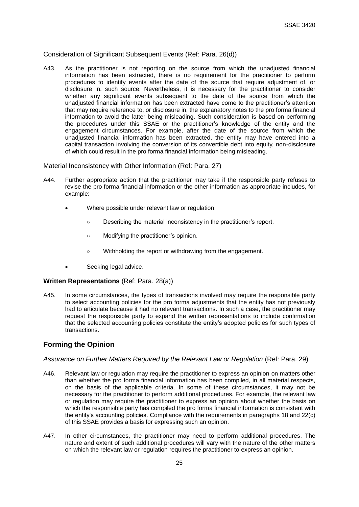#### Consideration of Significant Subsequent Events (Ref: Para. 26(d))

A43. As the practitioner is not reporting on the source from which the unadjusted financial information has been extracted, there is no requirement for the practitioner to perform procedures to identify events after the date of the source that require adjustment of, or disclosure in, such source. Nevertheless, it is necessary for the practitioner to consider whether any significant events subsequent to the date of the source from which the unadjusted financial information has been extracted have come to the practitioner's attention that may require reference to, or disclosure in, the explanatory notes to the pro forma financial information to avoid the latter being misleading. Such consideration is based on performing the procedures under this SSAE or the practitioner's knowledge of the entity and the engagement circumstances. For example, after the date of the source from which the unadjusted financial information has been extracted, the entity may have entered into a capital transaction involving the conversion of its convertible debt into equity, non-disclosure of which could result in the pro forma financial information being misleading.

Material Inconsistency with Other Information (Ref: Para. 27)

- A44. Further appropriate action that the practitioner may take if the responsible party refuses to revise the pro forma financial information or the other information as appropriate includes, for example:
	- Where possible under relevant law or regulation:
		- Describing the material inconsistency in the practitioner's report.
		- Modifying the practitioner's opinion.
		- Withholding the report or withdrawing from the engagement.
	- Seeking legal advice.

#### **Written Representations** (Ref: Para. 28(a))

A45. In some circumstances, the types of transactions involved may require the responsible party to select accounting policies for the pro forma adjustments that the entity has not previously had to articulate because it had no relevant transactions. In such a case, the practitioner may request the responsible party to expand the written representations to include confirmation that the selected accounting policies constitute the entity's adopted policies for such types of transactions.

## **Forming the Opinion**

#### *Assurance on Further Matters Required by the Relevant Law or Regulation* (Ref: Para. 29)

- A46. Relevant law or regulation may require the practitioner to express an opinion on matters other than whether the pro forma financial information has been compiled, in all material respects, on the basis of the applicable criteria. In some of these circumstances, it may not be necessary for the practitioner to perform additional procedures. For example, the relevant law or regulation may require the practitioner to express an opinion about whether the basis on which the responsible party has compiled the pro forma financial information is consistent with the entity's accounting policies. Compliance with the requirements in paragraphs 18 and 22(c) of this SSAE provides a basis for expressing such an opinion.
- A47. In other circumstances, the practitioner may need to perform additional procedures. The nature and extent of such additional procedures will vary with the nature of the other matters on which the relevant law or regulation requires the practitioner to express an opinion.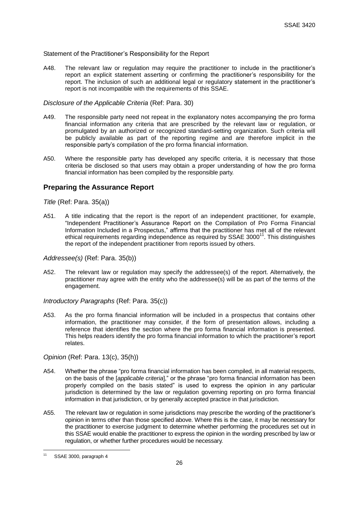#### Statement of the Practitioner's Responsibility for the Report

A48. The relevant law or regulation may require the practitioner to include in the practitioner's report an explicit statement asserting or confirming the practitioner's responsibility for the report. The inclusion of such an additional legal or regulatory statement in the practitioner's report is not incompatible with the requirements of this SSAE.

#### *Disclosure of the Applicable Criteria* (Ref: Para. 30)

- A49. The responsible party need not repeat in the explanatory notes accompanying the pro forma financial information any criteria that are prescribed by the relevant law or regulation, or promulgated by an authorized or recognized standard-setting organization. Such criteria will be publicly available as part of the reporting regime and are therefore implicit in the responsible party's compilation of the pro forma financial information.
- A50. Where the responsible party has developed any specific criteria, it is necessary that those criteria be disclosed so that users may obtain a proper understanding of how the pro forma financial information has been compiled by the responsible party.

## **Preparing the Assurance Report**

*Title* (Ref: Para. 35(a))

A51. A title indicating that the report is the report of an independent practitioner, for example, "Independent Practitioner's Assurance Report on the Compilation of Pro Forma Financial Information Included in a Prospectus," affirms that the practitioner has met all of the relevant ethical requirements regarding independence as required by SSAE 3000 $^{11}$ . This distinguishes the report of the independent practitioner from reports issued by others.

#### *Addressee(s)* (Ref: Para. 35(b))

A52. The relevant law or regulation may specify the addressee(s) of the report. Alternatively, the practitioner may agree with the entity who the addressee(s) will be as part of the terms of the engagement.

*Introductory Paragraphs* (Ref: Para. 35(c))

A53. As the pro forma financial information will be included in a prospectus that contains other information, the practitioner may consider, if the form of presentation allows, including a reference that identifies the section where the pro forma financial information is presented. This helps readers identify the pro forma financial information to which the practitioner's report relates.

#### *Opinion* (Ref: Para. 13(c), 35(h))

- A54. Whether the phrase "pro forma financial information has been compiled, in all material respects, on the basis of the [*applicable criteria*]," or the phrase "pro forma financial information has been properly compiled on the basis stated" is used to express the opinion in any particular jurisdiction is determined by the law or regulation governing reporting on pro forma financial information in that jurisdiction, or by generally accepted practice in that jurisdiction.
- A55. The relevant law or regulation in some jurisdictions may prescribe the wording of the practitioner's opinion in terms other than those specified above. Where this is the case, it may be necessary for the practitioner to exercise judgment to determine whether performing the procedures set out in this SSAE would enable the practitioner to express the opinion in the wording prescribed by law or regulation, or whether further procedures would be necessary.

 $11$ SSAE 3000, paragraph 4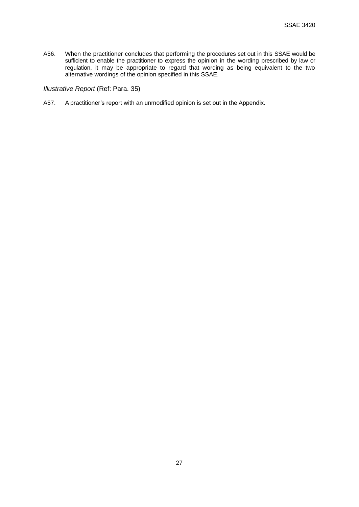A56. When the practitioner concludes that performing the procedures set out in this SSAE would be sufficient to enable the practitioner to express the opinion in the wording prescribed by law or regulation, it may be appropriate to regard that wording as being equivalent to the two alternative wordings of the opinion specified in this SSAE.

#### *Illustrative Report* (Ref: Para. 35)

A57. A practitioner's report with an unmodified opinion is set out in the Appendix.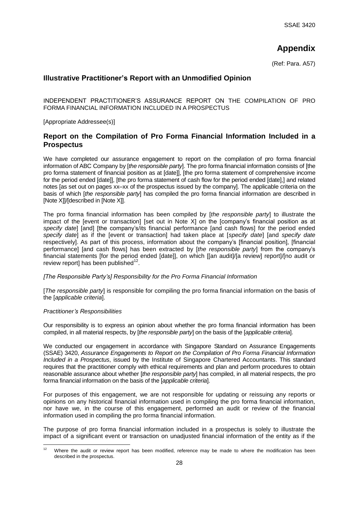# **Appendix**

(Ref: Para. A57)

## **Illustrative Practitioner's Report with an Unmodified Opinion**

INDEPENDENT PRACTITIONER'S ASSURANCE REPORT ON THE COMPILATION OF PRO FORMA FINANCIAL INFORMATION INCLUDED IN A PROSPECTUS

[Appropriate Addressee(s)]

## **Report on the Compilation of Pro Forma Financial Information Included in a Prospectus**

We have completed our assurance engagement to report on the compilation of pro forma financial information of ABC Company by [*the responsible party*]. The pro forma financial information consists of [the pro forma statement of financial position as at [date]], [the pro forma statement of comprehensive income for the period ended [date]], [the pro forma statement of cash flow for the period ended [date],] and related notes [as set out on pages xx–xx of the prospectus issued by the company]. The applicable criteria on the basis of which [*the responsible party*] has compiled the pro forma financial information are described in [Note X]]/[described in [Note X]].

The pro forma financial information has been compiled by [*the responsible party*] to illustrate the impact of the levent or transaction] [set out in Note X] on the [company's financial position as at *specify date*] [and] [the company's/its financial performance [and cash flows] for the period ended *specify date*] as if the [event or transaction] had taken place at [*specify date*] [and *specify date* respectively]. As part of this process, information about the company's [financial position], [financial performance] [and cash flows] has been extracted by [*the responsible party*] from the company's financial statements [for the period ended [date]], on which [[an audit]/[a review] report]/[no audit or review report] has been published $^{12}$ .

#### *[The Responsible Party's] Responsibility for the Pro Forma Financial Information*

[*The responsible party*] is responsible for compiling the pro forma financial information on the basis of the [*applicable criteria*].

#### *Practitioner's Responsibilities*

Our responsibility is to express an opinion about whether the pro forma financial information has been compiled, in all material respects, by [*the responsible party*] on the basis of the [*applicable criteria*].

We conducted our engagement in accordance with Singapore Standard on Assurance Engagements (SSAE) 3420, *Assurance Engagements to Report on the Compilation of Pro Forma Financial Information Included in a Prospectus*, issued by the Institute of Singapore Chartered Accountants. This standard requires that the practitioner comply with ethical requirements and plan and perform procedures to obtain reasonable assurance about whether [*the responsible party*] has compiled, in all material respects, the pro forma financial information on the basis of the [*applicable criteria*].

For purposes of this engagement, we are not responsible for updating or reissuing any reports or opinions on any historical financial information used in compiling the pro forma financial information, nor have we, in the course of this engagement, performed an audit or review of the financial information used in compiling the pro forma financial information.

The purpose of pro forma financial information included in a prospectus is solely to illustrate the impact of a significant event or transaction on unadjusted financial information of the entity as if the

 $12$ Where the audit or review report has been modified, reference may be made to where the modification has been described in the prospectus.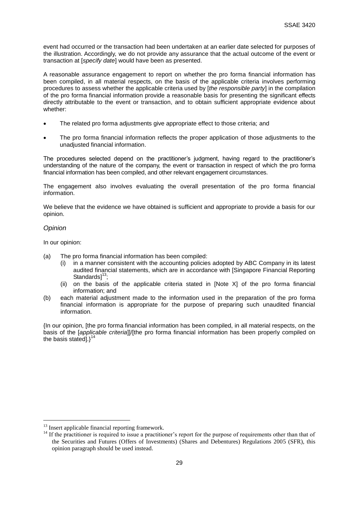event had occurred or the transaction had been undertaken at an earlier date selected for purposes of the illustration. Accordingly, we do not provide any assurance that the actual outcome of the event or transaction at [*specify date*] would have been as presented.

A reasonable assurance engagement to report on whether the pro forma financial information has been compiled, in all material respects, on the basis of the applicable criteria involves performing procedures to assess whether the applicable criteria used by [*the responsible party*] in the compilation of the pro forma financial information provide a reasonable basis for presenting the significant effects directly attributable to the event or transaction, and to obtain sufficient appropriate evidence about whether:

- The related pro forma adjustments give appropriate effect to those criteria; and
- The pro forma financial information reflects the proper application of those adjustments to the unadjusted financial information.

The procedures selected depend on the practitioner's judgment, having regard to the practitioner's understanding of the nature of the company, the event or transaction in respect of which the pro forma financial information has been compiled, and other relevant engagement circumstances.

The engagement also involves evaluating the overall presentation of the pro forma financial information.

We believe that the evidence we have obtained is sufficient and appropriate to provide a basis for our opinion.

#### *Opinion*

1

In our opinion:

- (a) The pro forma financial information has been compiled:
	- in a manner consistent with the accounting policies adopted by ABC Company in its latest audited financial statements, which are in accordance with [Singapore Financial Reporting Standards $]^{13}$ ;
	- (ii) on the basis of the applicable criteria stated in [Note X] of the pro forma financial information; and
- (b) each material adjustment made to the information used in the preparation of the pro forma financial information is appropriate for the purpose of preparing such unaudited financial information.

{In our opinion, [the pro forma financial information has been compiled, in all material respects, on the basis of the [*applicable criteria*]]/[the pro forma financial information has been properly compiled on the basis stated]. $3^{14}$ 

<sup>&</sup>lt;sup>13</sup> Insert applicable financial reporting framework.

<sup>14</sup> If the practitioner is required to issue a practitioner's report for the purpose of requirements other than that of the Securities and Futures (Offers of Investments) (Shares and Debentures) Regulations 2005 (SFR), this opinion paragraph should be used instead.